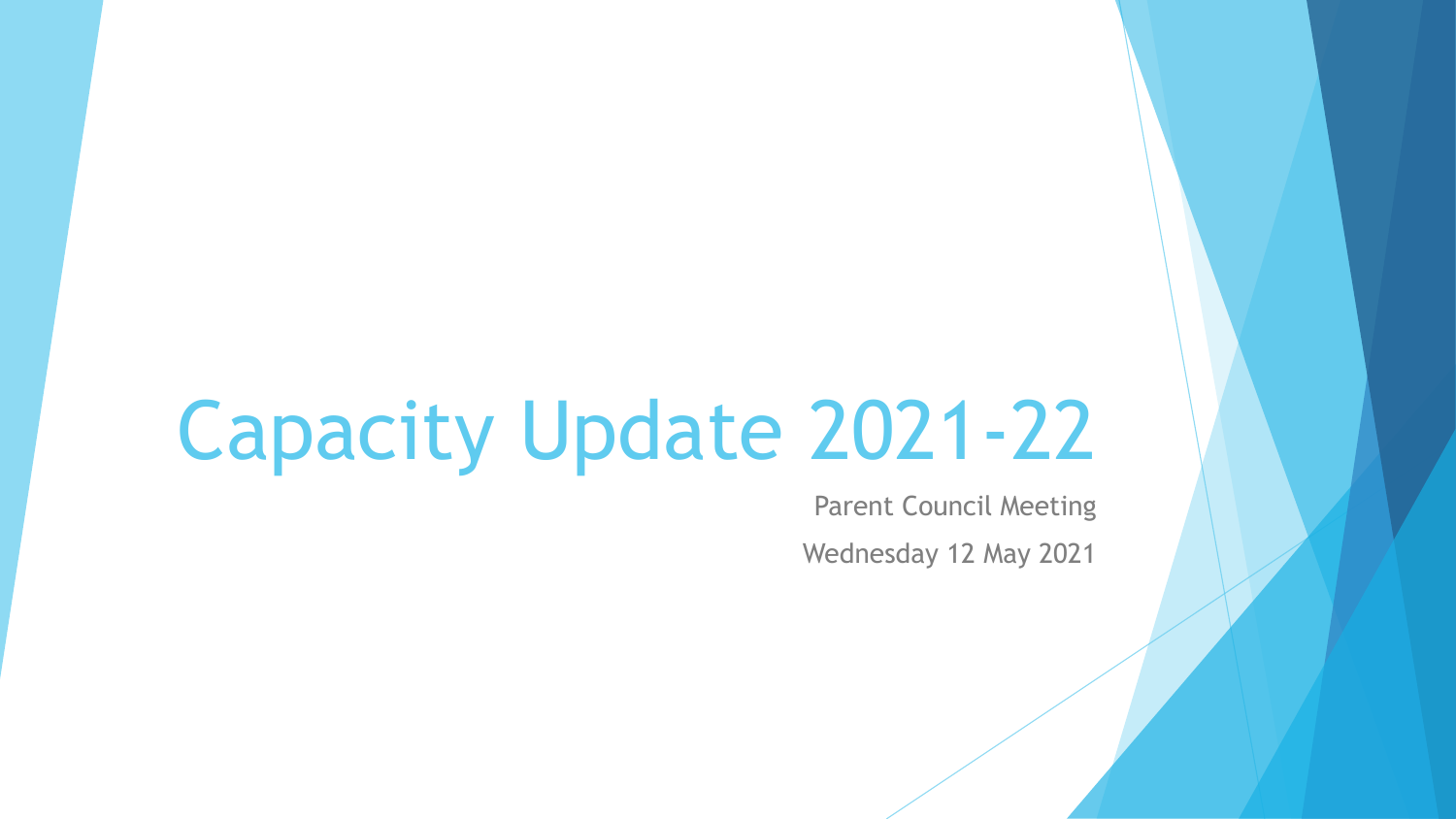# Capacity Update 2021-22

Parent Council Meeting Wednesday 12 May 2021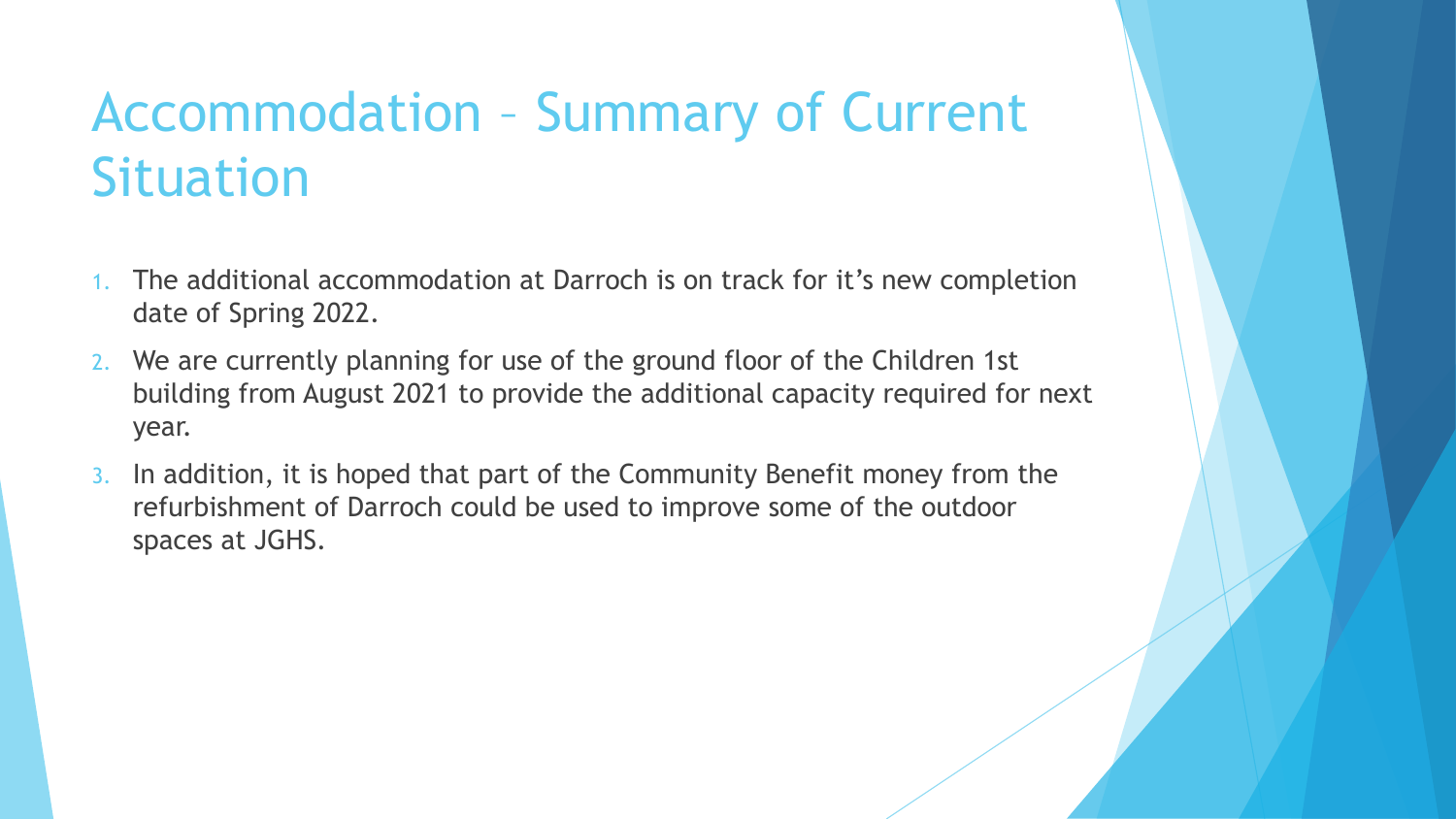### Accommodation – Summary of Current **Situation**

- The additional accommodation at Darroch is on track for it's new completion date of Spring 2022.
- 2. We are currently planning for use of the ground floor of the Children 1st building from August 2021 to provide the additional capacity required for next year.
- 3. In addition, it is hoped that part of the Community Benefit money from the refurbishment of Darroch could be used to improve some of the outdoor spaces at JGHS.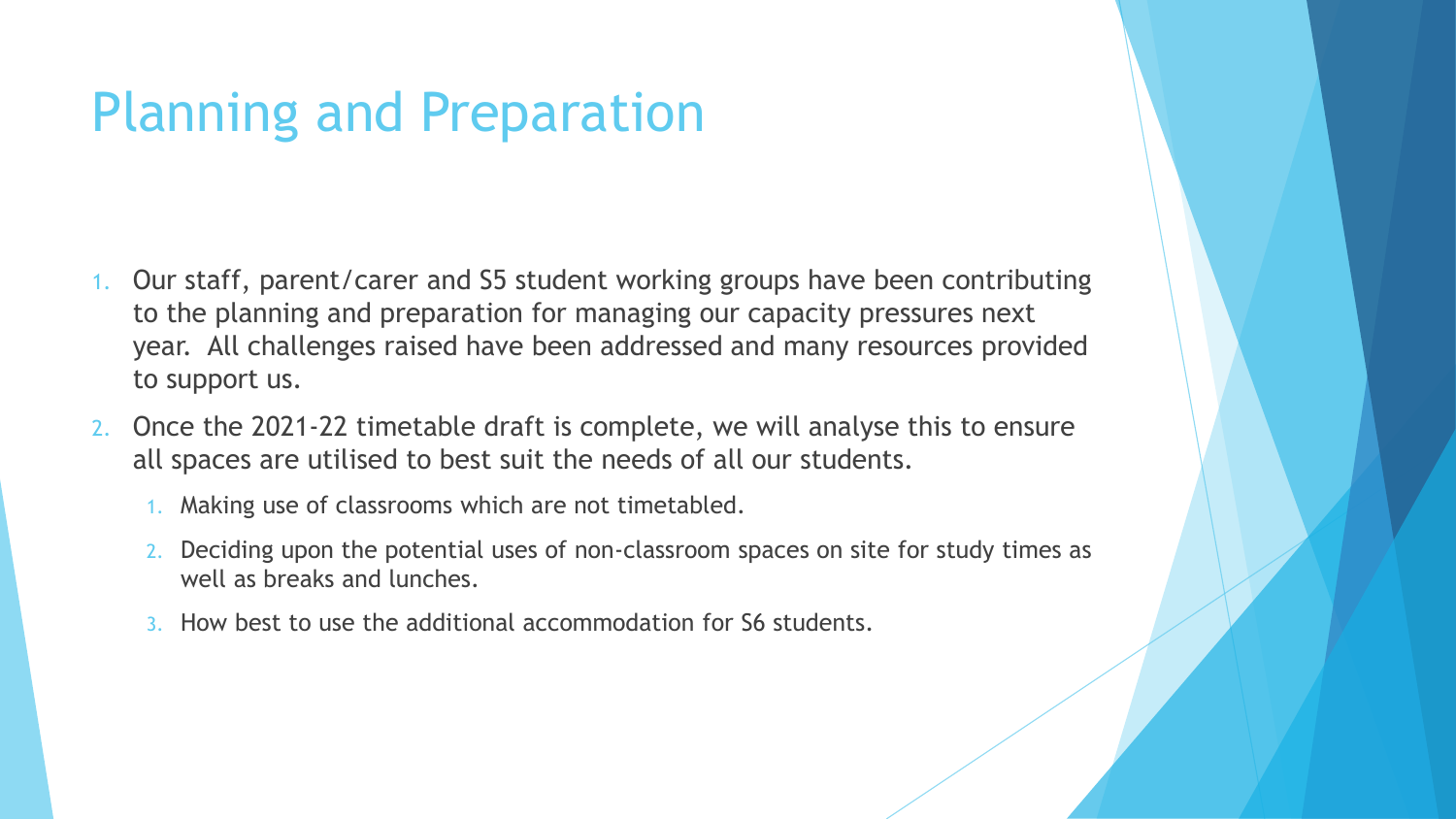### Planning and Preparation

- 1. Our staff, parent/carer and S5 student working groups have been contributing to the planning and preparation for managing our capacity pressures next year. All challenges raised have been addressed and many resources provided to support us.
- 2. Once the 2021-22 timetable draft is complete, we will analyse this to ensure all spaces are utilised to best suit the needs of all our students.
	- 1. Making use of classrooms which are not timetabled.
	- 2. Deciding upon the potential uses of non-classroom spaces on site for study times as well as breaks and lunches.
	- 3. How best to use the additional accommodation for S6 students.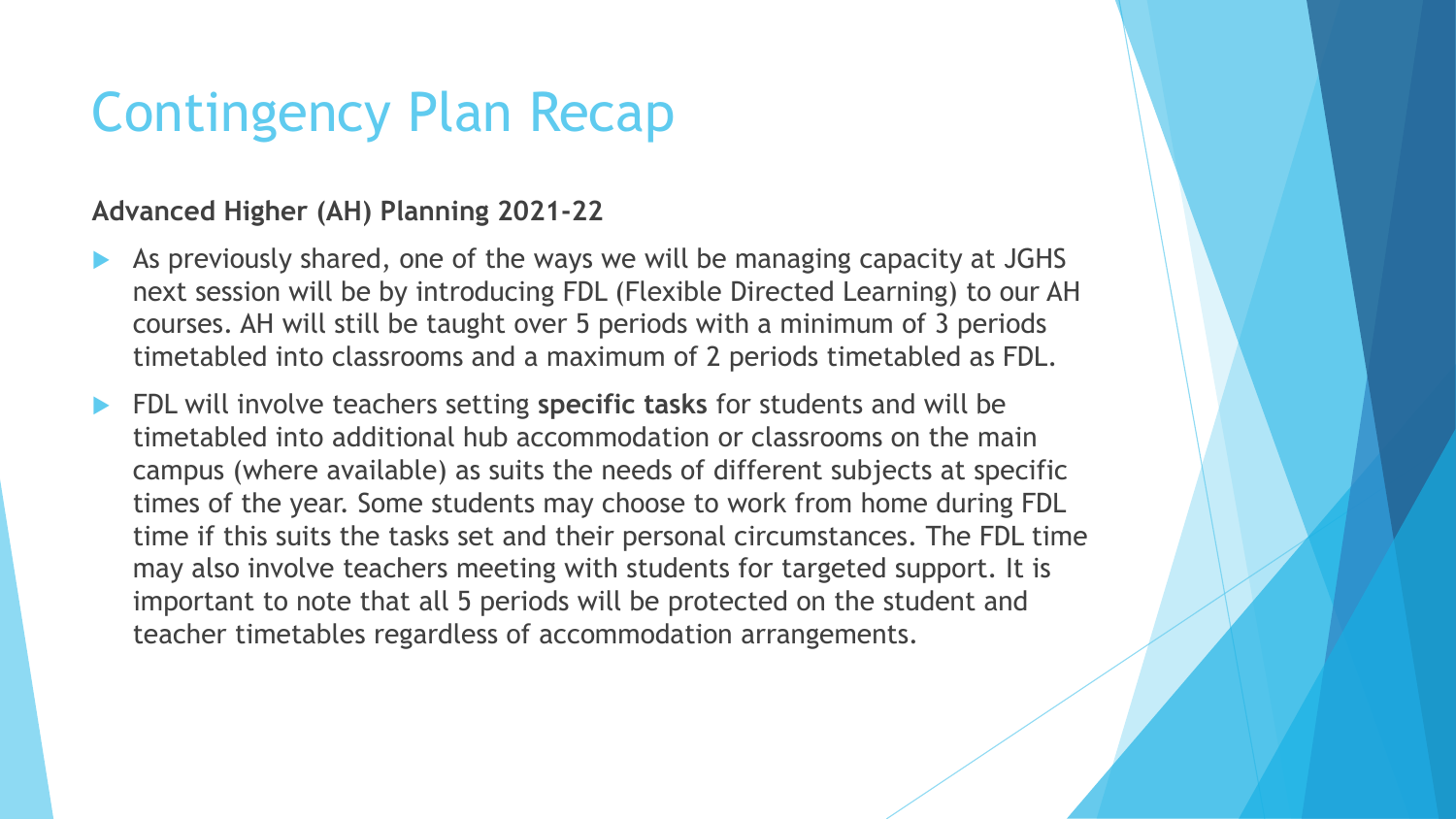### Contingency Plan Recap

#### **Advanced Higher (AH) Planning 2021-22**

- As previously shared, one of the ways we will be managing capacity at JGHS next session will be by introducing FDL (Flexible Directed Learning) to our AH courses. AH will still be taught over 5 periods with a minimum of 3 periods timetabled into classrooms and a maximum of 2 periods timetabled as FDL.
- FDL will involve teachers setting **specific tasks** for students and will be timetabled into additional hub accommodation or classrooms on the main campus (where available) as suits the needs of different subjects at specific times of the year. Some students may choose to work from home during FDL time if this suits the tasks set and their personal circumstances. The FDL time may also involve teachers meeting with students for targeted support. It is important to note that all 5 periods will be protected on the student and teacher timetables regardless of accommodation arrangements.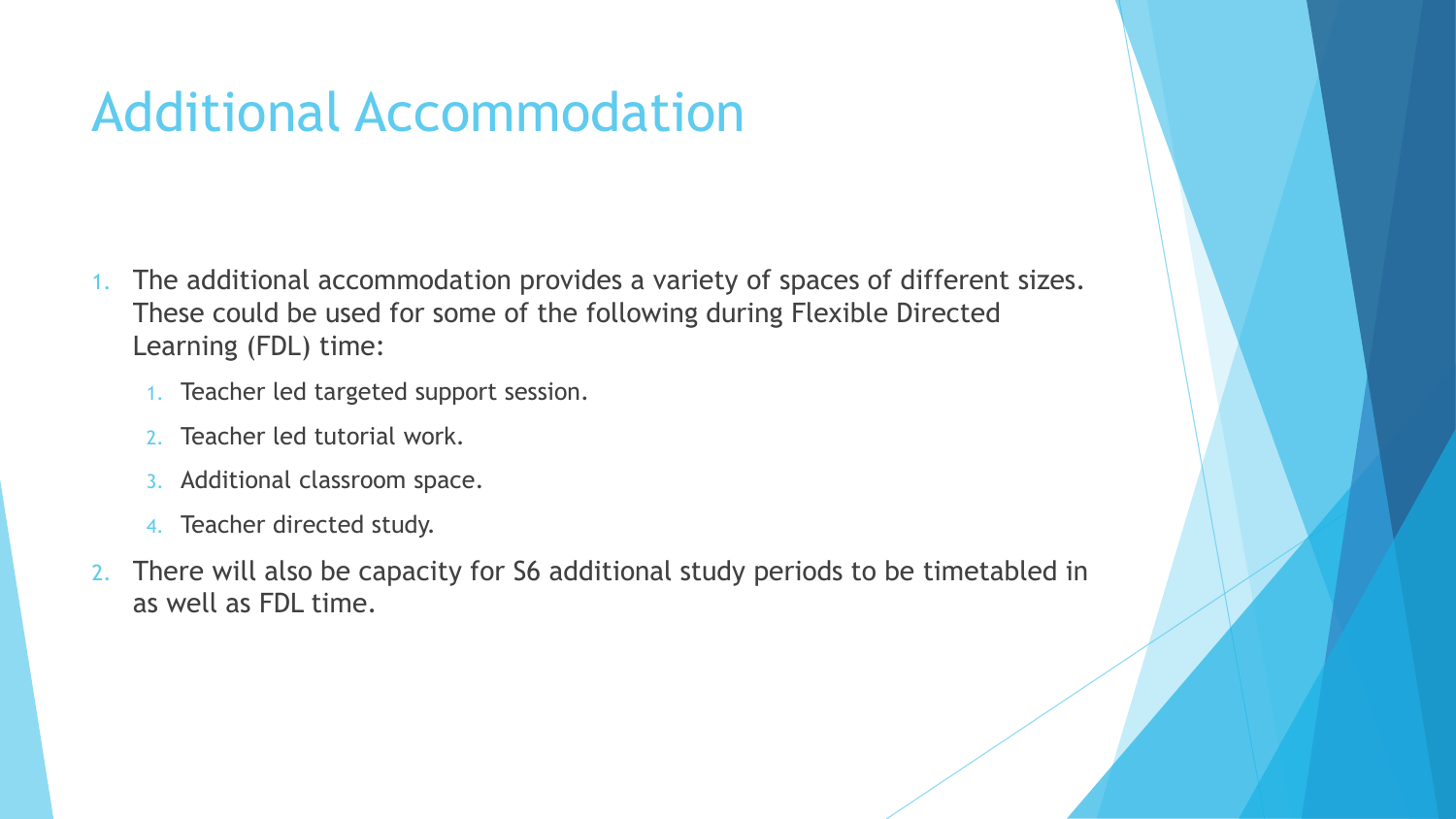### Additional Accommodation

- 1. The additional accommodation provides a variety of spaces of different sizes. These could be used for some of the following during Flexible Directed Learning (FDL) time:
	- 1. Teacher led targeted support session.
	- 2. Teacher led tutorial work.
	- 3. Additional classroom space.
	- 4. Teacher directed study.
- 2. There will also be capacity for S6 additional study periods to be timetabled in as well as FDL time.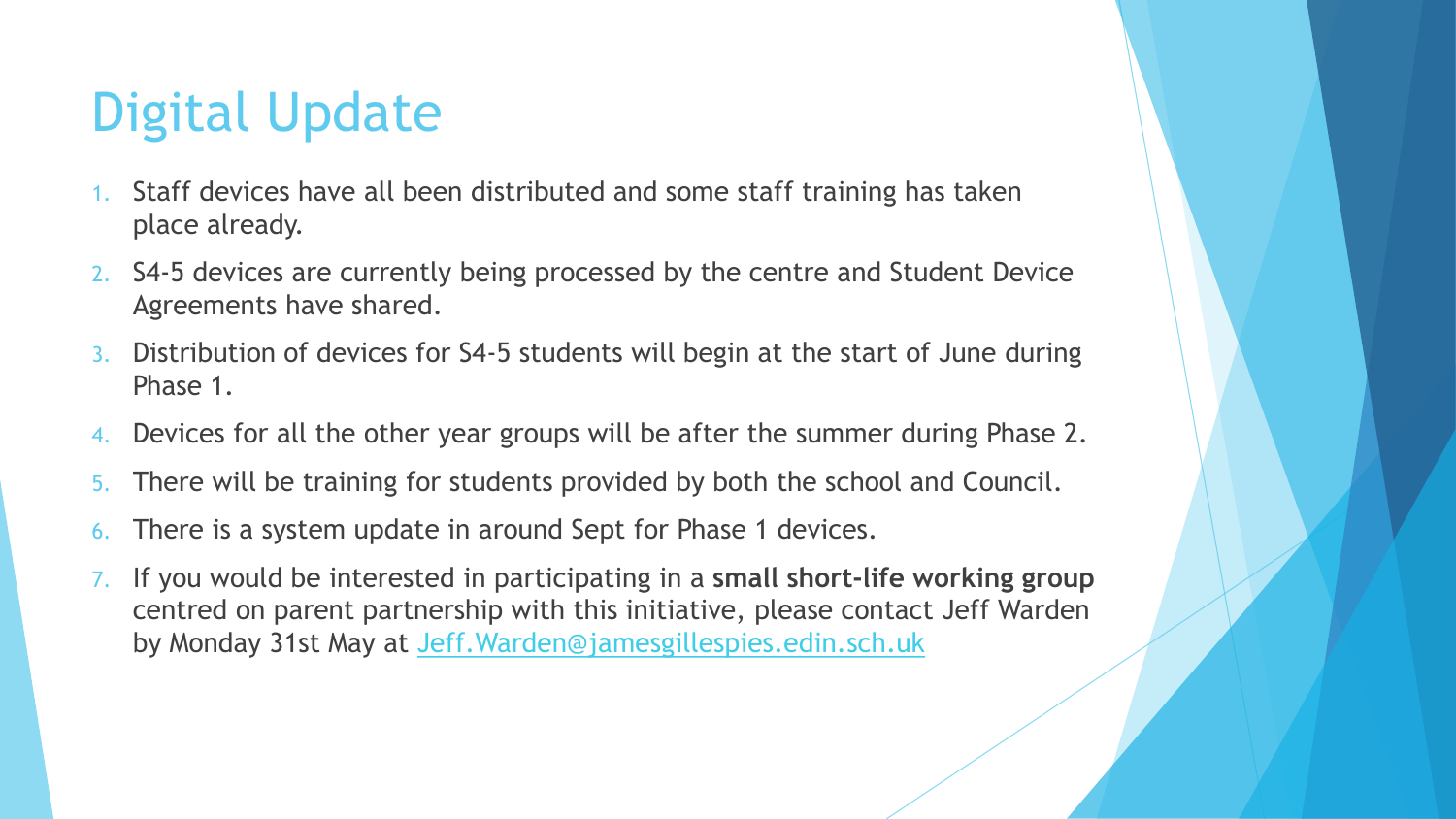## Digital Update

- Staff devices have all been distributed and some staff training has taken place already.
- 2. S4-5 devices are currently being processed by the centre and Student Device Agreements have shared.
- 3. Distribution of devices for S4-5 students will begin at the start of June during Phase 1.
- 4. Devices for all the other year groups will be after the summer during Phase 2.
- 5. There will be training for students provided by both the school and Council.
- 6. There is a system update in around Sept for Phase 1 devices.
- 7. If you would be interested in participating in a **small short-life working group** centred on parent partnership with this initiative, please contact Jeff Warden by Monday 31st May at [Jeff.Warden@jamesgillespies.edin.sch.uk](mailto:Jeff.Warden@jamesgillespies.edin.sch.uk)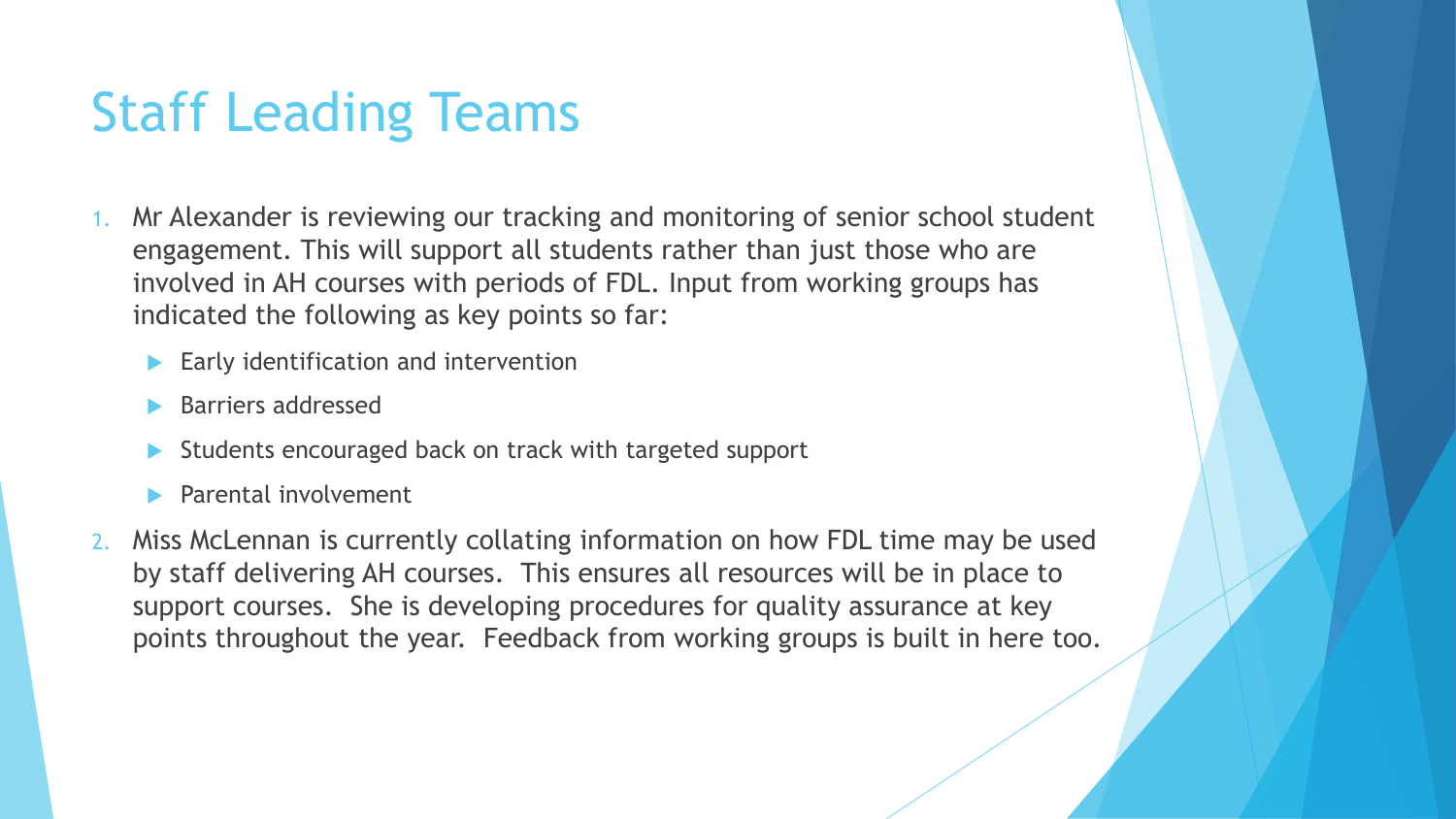### Staff Leading Teams

- 1. Mr Alexander is reviewing our tracking and monitoring of senior school student engagement. This will support all students rather than just those who are involved in AH courses with periods of FDL. Input from working groups has indicated the following as key points so far:
	- Early identification and intervention
	- Barriers addressed
	- Students encouraged back on track with targeted support
	- Parental involvement
- 2. Miss McLennan is currently collating information on how FDL time may be used by staff delivering AH courses. This ensures all resources will be in place to support courses. She is developing procedures for quality assurance at key points throughout the year. Feedback from working groups is built in here too.